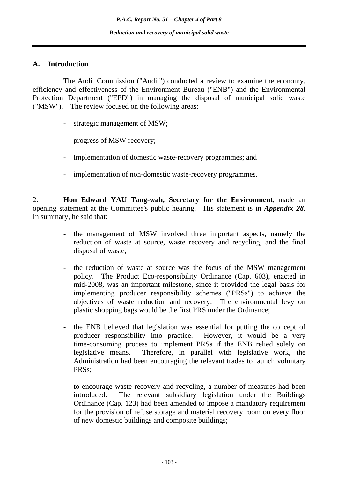# **A. Introduction**

 The Audit Commission ("Audit") conducted a review to examine the economy, efficiency and effectiveness of the Environment Bureau ("ENB") and the Environmental Protection Department ("EPD") in managing the disposal of municipal solid waste ("MSW"). The review focused on the following areas:

- strategic management of MSW;
- progress of MSW recovery;
- implementation of domestic waste-recovery programmes; and
- implementation of non-domestic waste-recovery programmes.

2. **Hon Edward YAU Tang-wah, Secretary for the Environment**, made an opening statement at the Committee's public hearing. His statement is in *Appendix 28*. In summary, he said that:

- the management of MSW involved three important aspects, namely the reduction of waste at source, waste recovery and recycling, and the final disposal of waste;
- the reduction of waste at source was the focus of the MSW management policy. The Product Eco-responsibility Ordinance (Cap. 603), enacted in mid-2008, was an important milestone, since it provided the legal basis for implementing producer responsibility schemes ("PRSs") to achieve the objectives of waste reduction and recovery. The environmental levy on plastic shopping bags would be the first PRS under the Ordinance;
- the ENB believed that legislation was essential for putting the concept of producer responsibility into practice. However, it would be a very time-consuming process to implement PRSs if the ENB relied solely on legislative means. Therefore, in parallel with legislative work, the Administration had been encouraging the relevant trades to launch voluntary PRSs;
- to encourage waste recovery and recycling, a number of measures had been introduced. The relevant subsidiary legislation under the Buildings Ordinance (Cap. 123) had been amended to impose a mandatory requirement for the provision of refuse storage and material recovery room on every floor of new domestic buildings and composite buildings;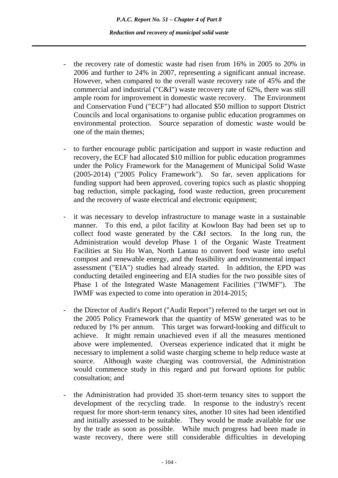- the recovery rate of domestic waste had risen from 16% in 2005 to 20% in 2006 and further to 24% in 2007, representing a significant annual increase. However, when compared to the overall waste recovery rate of 45% and the commercial and industrial ("C&I") waste recovery rate of 62%, there was still ample room for improvement in domestic waste recovery. The Environment and Conservation Fund ("ECF") had allocated \$50 million to support District Councils and local organisations to organise public education programmes on environmental protection. Source separation of domestic waste would be one of the main themes;
- to further encourage public participation and support in waste reduction and recovery, the ECF had allocated \$10 million for public education programmes under the Policy Framework for the Management of Municipal Solid Waste (2005-2014) ("2005 Policy Framework"). So far, seven applications for funding support had been approved, covering topics such as plastic shopping bag reduction, simple packaging, food waste reduction, green procurement and the recovery of waste electrical and electronic equipment;
- it was necessary to develop infrastructure to manage waste in a sustainable manner. To this end, a pilot facility at Kowloon Bay had been set up to collect food waste generated by the C&I sectors. In the long run, the Administration would develop Phase 1 of the Organic Waste Treatment Facilities at Siu Ho Wan, North Lantau to convert food waste into useful compost and renewable energy, and the feasibility and environmental impact assessment ("EIA") studies had already started. In addition, the EPD was conducting detailed engineering and EIA studies for the two possible sites of Phase 1 of the Integrated Waste Management Facilities ("IWMF"). The IWMF was expected to come into operation in 2014-2015;
- the Director of Audit's Report ("Audit Report") referred to the target set out in the 2005 Policy Framework that the quantity of MSW generated was to be reduced by 1% per annum. This target was forward-looking and difficult to achieve. It might remain unachieved even if all the measures mentioned above were implemented. Overseas experience indicated that it might be necessary to implement a solid waste charging scheme to help reduce waste at source. Although waste charging was controversial, the Administration would commence study in this regard and put forward options for public consultation; and
- the Administration had provided 35 short-term tenancy sites to support the development of the recycling trade. In response to the industry's recent request for more short-term tenancy sites, another 10 sites had been identified and initially assessed to be suitable. They would be made available for use by the trade as soon as possible. While much progress had been made in waste recovery, there were still considerable difficulties in developing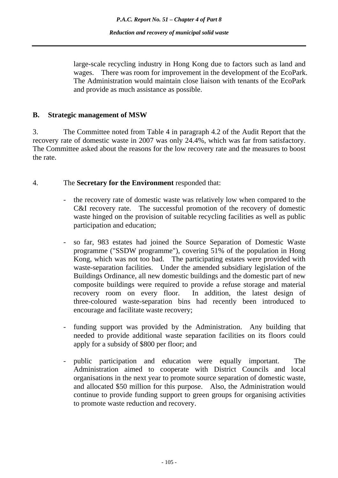large-scale recycling industry in Hong Kong due to factors such as land and wages. There was room for improvement in the development of the EcoPark. The Administration would maintain close liaison with tenants of the EcoPark and provide as much assistance as possible.

### **B. Strategic management of MSW**

3. The Committee noted from Table 4 in paragraph 4.2 of the Audit Report that the recovery rate of domestic waste in 2007 was only 24.4%, which was far from satisfactory. The Committee asked about the reasons for the low recovery rate and the measures to boost the rate.

### 4. The **Secretary for the Environment** responded that:

- the recovery rate of domestic waste was relatively low when compared to the C&I recovery rate. The successful promotion of the recovery of domestic waste hinged on the provision of suitable recycling facilities as well as public participation and education;
- so far, 983 estates had joined the Source Separation of Domestic Waste programme ("SSDW programme"), covering 51% of the population in Hong Kong, which was not too bad. The participating estates were provided with waste-separation facilities. Under the amended subsidiary legislation of the Buildings Ordinance, all new domestic buildings and the domestic part of new composite buildings were required to provide a refuse storage and material recovery room on every floor. In addition, the latest design of three-coloured waste-separation bins had recently been introduced to encourage and facilitate waste recovery;
- funding support was provided by the Administration. Any building that needed to provide additional waste separation facilities on its floors could apply for a subsidy of \$800 per floor; and
- public participation and education were equally important. The Administration aimed to cooperate with District Councils and local organisations in the next year to promote source separation of domestic waste, and allocated \$50 million for this purpose. Also, the Administration would continue to provide funding support to green groups for organising activities to promote waste reduction and recovery.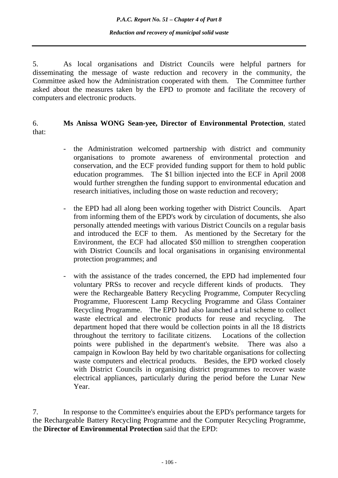5. As local organisations and District Councils were helpful partners for disseminating the message of waste reduction and recovery in the community, the Committee asked how the Administration cooperated with them. The Committee further asked about the measures taken by the EPD to promote and facilitate the recovery of computers and electronic products.

### 6. **Ms Anissa WONG Sean-yee, Director of Environmental Protection**, stated that:

- the Administration welcomed partnership with district and community organisations to promote awareness of environmental protection and conservation, and the ECF provided funding support for them to hold public education programmes. The \$1 billion injected into the ECF in April 2008 would further strengthen the funding support to environmental education and research initiatives, including those on waste reduction and recovery;
- the EPD had all along been working together with District Councils. Apart from informing them of the EPD's work by circulation of documents, she also personally attended meetings with various District Councils on a regular basis and introduced the ECF to them. As mentioned by the Secretary for the Environment, the ECF had allocated \$50 million to strengthen cooperation with District Councils and local organisations in organising environmental protection programmes; and
- with the assistance of the trades concerned, the EPD had implemented four voluntary PRSs to recover and recycle different kinds of products. They were the Rechargeable Battery Recycling Programme, Computer Recycling Programme, Fluorescent Lamp Recycling Programme and Glass Container Recycling Programme. The EPD had also launched a trial scheme to collect waste electrical and electronic products for reuse and recycling. The department hoped that there would be collection points in all the 18 districts throughout the territory to facilitate citizens. Locations of the collection points were published in the department's website. There was also a campaign in Kowloon Bay held by two charitable organisations for collecting waste computers and electrical products. Besides, the EPD worked closely with District Councils in organising district programmes to recover waste electrical appliances, particularly during the period before the Lunar New Year.

7. In response to the Committee's enquiries about the EPD's performance targets for the Rechargeable Battery Recycling Programme and the Computer Recycling Programme, the **Director of Environmental Protection** said that the EPD: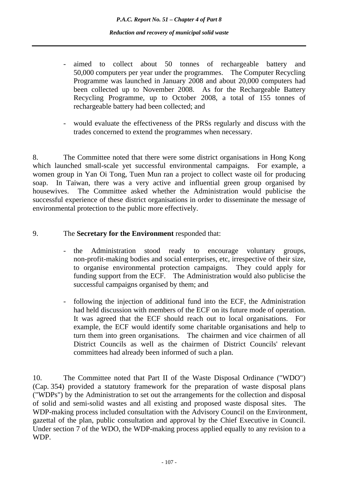- aimed to collect about 50 tonnes of rechargeable battery and 50,000 computers per year under the programmes. The Computer Recycling Programme was launched in January 2008 and about 20,000 computers had been collected up to November 2008. As for the Rechargeable Battery Recycling Programme, up to October 2008, a total of 155 tonnes of rechargeable battery had been collected; and
- would evaluate the effectiveness of the PRSs regularly and discuss with the trades concerned to extend the programmes when necessary.

8. The Committee noted that there were some district organisations in Hong Kong which launched small-scale yet successful environmental campaigns. For example, a women group in Yan Oi Tong, Tuen Mun ran a project to collect waste oil for producing soap. In Taiwan, there was a very active and influential green group organised by housewives. The Committee asked whether the Administration would publicise the successful experience of these district organisations in order to disseminate the message of environmental protection to the public more effectively.

## 9. The **Secretary for the Environment** responded that:

- the Administration stood ready to encourage voluntary groups, non-profit-making bodies and social enterprises, etc, irrespective of their size, to organise environmental protection campaigns. They could apply for funding support from the ECF. The Administration would also publicise the successful campaigns organised by them; and
- following the injection of additional fund into the ECF, the Administration had held discussion with members of the ECF on its future mode of operation. It was agreed that the ECF should reach out to local organisations. For example, the ECF would identify some charitable organisations and help to turn them into green organisations. The chairmen and vice chairmen of all District Councils as well as the chairmen of District Councils' relevant committees had already been informed of such a plan.

10. The Committee noted that Part II of the Waste Disposal Ordinance ("WDO") (Cap. 354) provided a statutory framework for the preparation of waste disposal plans ("WDPs") by the Administration to set out the arrangements for the collection and disposal of solid and semi-solid wastes and all existing and proposed waste disposal sites. The WDP-making process included consultation with the Advisory Council on the Environment, gazettal of the plan, public consultation and approval by the Chief Executive in Council. Under section 7 of the WDO, the WDP-making process applied equally to any revision to a WDP.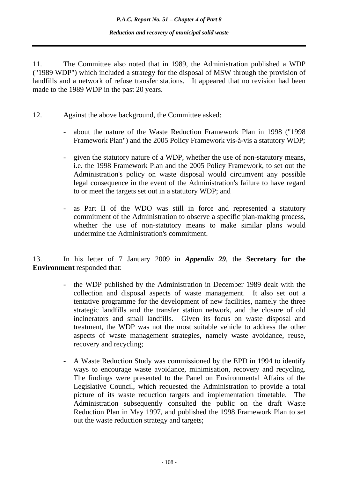11. The Committee also noted that in 1989, the Administration published a WDP ("1989 WDP") which included a strategy for the disposal of MSW through the provision of landfills and a network of refuse transfer stations. It appeared that no revision had been made to the 1989 WDP in the past 20 years.

- 12. Against the above background, the Committee asked:
	- about the nature of the Waste Reduction Framework Plan in 1998 ("1998 Framework Plan") and the 2005 Policy Framework vis-à-vis a statutory WDP;
	- given the statutory nature of a WDP, whether the use of non-statutory means, i.e. the 1998 Framework Plan and the 2005 Policy Framework, to set out the Administration's policy on waste disposal would circumvent any possible legal consequence in the event of the Administration's failure to have regard to or meet the targets set out in a statutory WDP; and
	- as Part II of the WDO was still in force and represented a statutory commitment of the Administration to observe a specific plan-making process, whether the use of non-statutory means to make similar plans would undermine the Administration's commitment.

13. In his letter of 7 January 2009 in *Appendix 29*, the **Secretary for the Environment** responded that:

- the WDP published by the Administration in December 1989 dealt with the collection and disposal aspects of waste management. It also set out a tentative programme for the development of new facilities, namely the three strategic landfills and the transfer station network, and the closure of old incinerators and small landfills. Given its focus on waste disposal and treatment, the WDP was not the most suitable vehicle to address the other aspects of waste management strategies, namely waste avoidance, reuse, recovery and recycling;
- A Waste Reduction Study was commissioned by the EPD in 1994 to identify ways to encourage waste avoidance, minimisation, recovery and recycling. The findings were presented to the Panel on Environmental Affairs of the Legislative Council, which requested the Administration to provide a total picture of its waste reduction targets and implementation timetable. The Administration subsequently consulted the public on the draft Waste Reduction Plan in May 1997, and published the 1998 Framework Plan to set out the waste reduction strategy and targets;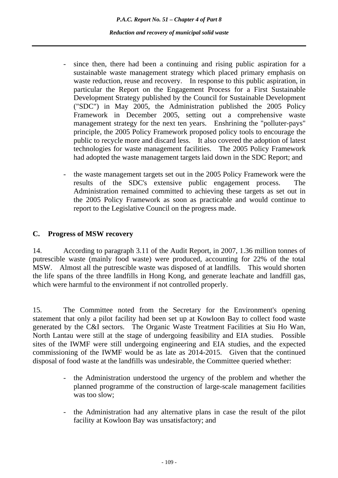- since then, there had been a continuing and rising public aspiration for a sustainable waste management strategy which placed primary emphasis on waste reduction, reuse and recovery. In response to this public aspiration, in particular the Report on the Engagement Process for a First Sustainable Development Strategy published by the Council for Sustainable Development ("SDC") in May 2005, the Administration published the 2005 Policy Framework in December 2005, setting out a comprehensive waste management strategy for the next ten years. Enshrining the "polluter-pays" principle, the 2005 Policy Framework proposed policy tools to encourage the public to recycle more and discard less. It also covered the adoption of latest technologies for waste management facilities. The 2005 Policy Framework had adopted the waste management targets laid down in the SDC Report; and
- the waste management targets set out in the 2005 Policy Framework were the results of the SDC's extensive public engagement process. The Administration remained committed to achieving these targets as set out in the 2005 Policy Framework as soon as practicable and would continue to report to the Legislative Council on the progress made.

## **C. Progress of MSW recovery**

14. According to paragraph 3.11 of the Audit Report, in 2007, 1.36 million tonnes of putrescible waste (mainly food waste) were produced, accounting for 22% of the total MSW. Almost all the putrescible waste was disposed of at landfills. This would shorten the life spans of the three landfills in Hong Kong, and generate leachate and landfill gas, which were harmful to the environment if not controlled properly.

15. The Committee noted from the Secretary for the Environment's opening statement that only a pilot facility had been set up at Kowloon Bay to collect food waste generated by the C&I sectors. The Organic Waste Treatment Facilities at Siu Ho Wan, North Lantau were still at the stage of undergoing feasibility and EIA studies. Possible sites of the IWMF were still undergoing engineering and EIA studies, and the expected commissioning of the IWMF would be as late as 2014-2015. Given that the continued disposal of food waste at the landfills was undesirable, the Committee queried whether:

- the Administration understood the urgency of the problem and whether the planned programme of the construction of large-scale management facilities was too slow;
- the Administration had any alternative plans in case the result of the pilot facility at Kowloon Bay was unsatisfactory; and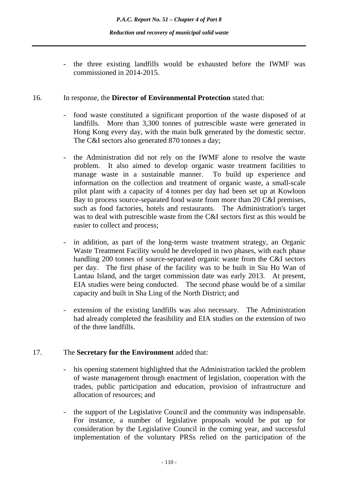- the three existing landfills would be exhausted before the IWMF was commissioned in 2014-2015.

### 16. In response, the **Director of Environmental Protection** stated that:

- food waste constituted a significant proportion of the waste disposed of at landfills. More than 3,300 tonnes of putrescible waste were generated in Hong Kong every day, with the main bulk generated by the domestic sector. The C&I sectors also generated 870 tonnes a day;
- the Administration did not rely on the IWMF alone to resolve the waste problem. It also aimed to develop organic waste treatment facilities to manage waste in a sustainable manner. To build up experience and information on the collection and treatment of organic waste, a small-scale pilot plant with a capacity of 4 tonnes per day had been set up at Kowloon Bay to process source-separated food waste from more than 20 C&I premises, such as food factories, hotels and restaurants. The Administration's target was to deal with putrescible waste from the C&I sectors first as this would be easier to collect and process;
- in addition, as part of the long-term waste treatment strategy, an Organic Waste Treatment Facility would be developed in two phases, with each phase handling 200 tonnes of source-separated organic waste from the C&I sectors per day. The first phase of the facility was to be built in Siu Ho Wan of Lantau Island, and the target commission date was early 2013. At present, EIA studies were being conducted. The second phase would be of a similar capacity and built in Sha Ling of the North District; and
- extension of the existing landfills was also necessary. The Administration had already completed the feasibility and EIA studies on the extension of two of the three landfills.

# 17. The **Secretary for the Environment** added that:

- his opening statement highlighted that the Administration tackled the problem of waste management through enactment of legislation, cooperation with the trades, public participation and education, provision of infrastructure and allocation of resources; and
- the support of the Legislative Council and the community was indispensable. For instance, a number of legislative proposals would be put up for consideration by the Legislative Council in the coming year, and successful implementation of the voluntary PRSs relied on the participation of the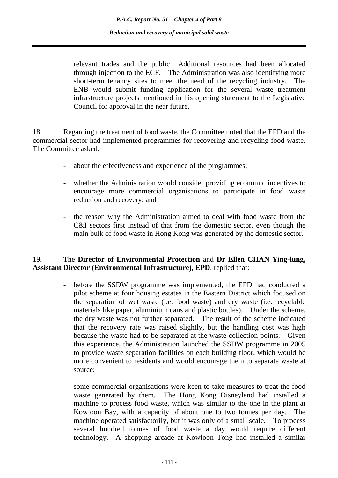relevant trades and the public Additional resources had been allocated through injection to the ECF. The Administration was also identifying more short-term tenancy sites to meet the need of the recycling industry. The ENB would submit funding application for the several waste treatment infrastructure projects mentioned in his opening statement to the Legislative Council for approval in the near future.

18. Regarding the treatment of food waste, the Committee noted that the EPD and the commercial sector had implemented programmes for recovering and recycling food waste. The Committee asked:

- about the effectiveness and experience of the programmes;
- whether the Administration would consider providing economic incentives to encourage more commercial organisations to participate in food waste reduction and recovery; and
- the reason why the Administration aimed to deal with food waste from the C&I sectors first instead of that from the domestic sector, even though the main bulk of food waste in Hong Kong was generated by the domestic sector.

### 19. The **Director of Environmental Protection** and **Dr Ellen CHAN Ying-lung, Assistant Director (Environmental Infrastructure), EPD**, replied that:

- before the SSDW programme was implemented, the EPD had conducted a pilot scheme at four housing estates in the Eastern District which focused on the separation of wet waste (i.e. food waste) and dry waste (i.e. recyclable materials like paper, aluminium cans and plastic bottles). Under the scheme, the dry waste was not further separated. The result of the scheme indicated that the recovery rate was raised slightly, but the handling cost was high because the waste had to be separated at the waste collection points. Given this experience, the Administration launched the SSDW programme in 2005 to provide waste separation facilities on each building floor, which would be more convenient to residents and would encourage them to separate waste at source;
- some commercial organisations were keen to take measures to treat the food waste generated by them. The Hong Kong Disneyland had installed a machine to process food waste, which was similar to the one in the plant at Kowloon Bay, with a capacity of about one to two tonnes per day. The machine operated satisfactorily, but it was only of a small scale. To process several hundred tonnes of food waste a day would require different technology. A shopping arcade at Kowloon Tong had installed a similar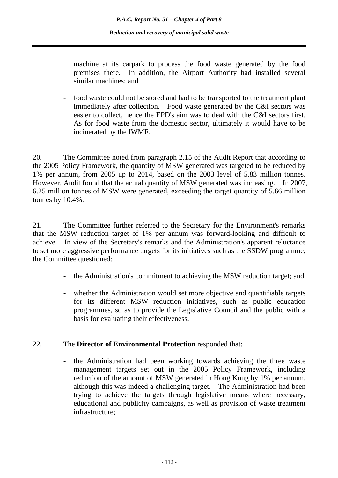machine at its carpark to process the food waste generated by the food premises there. In addition, the Airport Authority had installed several similar machines; and

- food waste could not be stored and had to be transported to the treatment plant immediately after collection. Food waste generated by the C&I sectors was easier to collect, hence the EPD's aim was to deal with the C&I sectors first. As for food waste from the domestic sector, ultimately it would have to be incinerated by the IWMF.

20. The Committee noted from paragraph 2.15 of the Audit Report that according to the 2005 Policy Framework, the quantity of MSW generated was targeted to be reduced by 1% per annum, from 2005 up to 2014, based on the 2003 level of 5.83 million tonnes. However, Audit found that the actual quantity of MSW generated was increasing. In 2007, 6.25 million tonnes of MSW were generated, exceeding the target quantity of 5.66 million tonnes by 10.4%.

21. The Committee further referred to the Secretary for the Environment's remarks that the MSW reduction target of 1% per annum was forward-looking and difficult to achieve. In view of the Secretary's remarks and the Administration's apparent reluctance to set more aggressive performance targets for its initiatives such as the SSDW programme, the Committee questioned:

- the Administration's commitment to achieving the MSW reduction target; and
- whether the Administration would set more objective and quantifiable targets for its different MSW reduction initiatives, such as public education programmes, so as to provide the Legislative Council and the public with a basis for evaluating their effectiveness.

### 22. The **Director of Environmental Protection** responded that:

- the Administration had been working towards achieving the three waste management targets set out in the 2005 Policy Framework, including reduction of the amount of MSW generated in Hong Kong by 1% per annum, although this was indeed a challenging target. The Administration had been trying to achieve the targets through legislative means where necessary, educational and publicity campaigns, as well as provision of waste treatment infrastructure;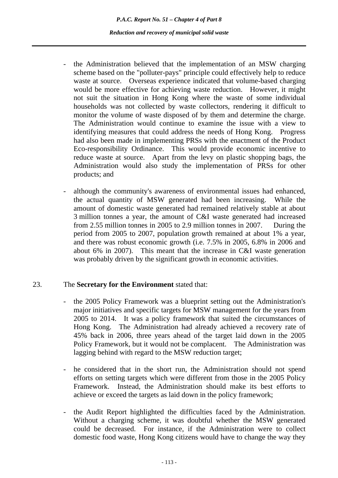- the Administration believed that the implementation of an MSW charging scheme based on the "polluter-pays" principle could effectively help to reduce waste at source. Overseas experience indicated that volume-based charging would be more effective for achieving waste reduction. However, it might not suit the situation in Hong Kong where the waste of some individual households was not collected by waste collectors, rendering it difficult to monitor the volume of waste disposed of by them and determine the charge. The Administration would continue to examine the issue with a view to identifying measures that could address the needs of Hong Kong. Progress had also been made in implementing PRSs with the enactment of the Product Eco-responsibility Ordinance. This would provide economic incentive to reduce waste at source. Apart from the levy on plastic shopping bags, the Administration would also study the implementation of PRSs for other products; and
- although the community's awareness of environmental issues had enhanced, the actual quantity of MSW generated had been increasing. While the amount of domestic waste generated had remained relatively stable at about 3 million tonnes a year, the amount of C&I waste generated had increased from 2.55 million tonnes in 2005 to 2.9 million tonnes in 2007. During the period from 2005 to 2007, population growth remained at about 1% a year, and there was robust economic growth (i.e. 7.5% in 2005, 6.8% in 2006 and about 6% in 2007). This meant that the increase in C&I waste generation was probably driven by the significant growth in economic activities.

### 23. The **Secretary for the Environment** stated that:

- the 2005 Policy Framework was a blueprint setting out the Administration's major initiatives and specific targets for MSW management for the years from 2005 to 2014. It was a policy framework that suited the circumstances of Hong Kong. The Administration had already achieved a recovery rate of 45% back in 2006, three years ahead of the target laid down in the 2005 Policy Framework, but it would not be complacent. The Administration was lagging behind with regard to the MSW reduction target;
- he considered that in the short run, the Administration should not spend efforts on setting targets which were different from those in the 2005 Policy Framework. Instead, the Administration should make its best efforts to achieve or exceed the targets as laid down in the policy framework;
- the Audit Report highlighted the difficulties faced by the Administration. Without a charging scheme, it was doubtful whether the MSW generated could be decreased. For instance, if the Administration were to collect domestic food waste, Hong Kong citizens would have to change the way they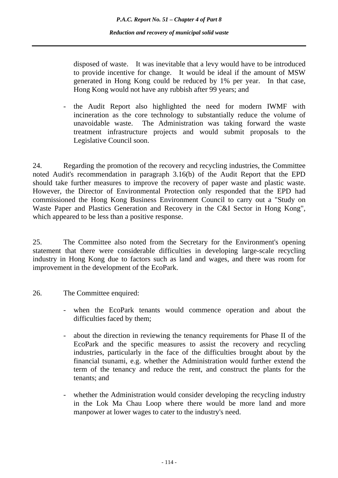disposed of waste. It was inevitable that a levy would have to be introduced to provide incentive for change. It would be ideal if the amount of MSW generated in Hong Kong could be reduced by 1% per year. In that case, Hong Kong would not have any rubbish after 99 years; and

- the Audit Report also highlighted the need for modern IWMF with incineration as the core technology to substantially reduce the volume of unavoidable waste. The Administration was taking forward the waste treatment infrastructure projects and would submit proposals to the Legislative Council soon.

24. Regarding the promotion of the recovery and recycling industries, the Committee noted Audit's recommendation in paragraph 3.16(b) of the Audit Report that the EPD should take further measures to improve the recovery of paper waste and plastic waste. However, the Director of Environmental Protection only responded that the EPD had commissioned the Hong Kong Business Environment Council to carry out a "Study on Waste Paper and Plastics Generation and Recovery in the C&I Sector in Hong Kong", which appeared to be less than a positive response.

25. The Committee also noted from the Secretary for the Environment's opening statement that there were considerable difficulties in developing large-scale recycling industry in Hong Kong due to factors such as land and wages, and there was room for improvement in the development of the EcoPark.

- 26. The Committee enquired:
	- when the EcoPark tenants would commence operation and about the difficulties faced by them;
	- about the direction in reviewing the tenancy requirements for Phase II of the EcoPark and the specific measures to assist the recovery and recycling industries, particularly in the face of the difficulties brought about by the financial tsunami, e.g. whether the Administration would further extend the term of the tenancy and reduce the rent, and construct the plants for the tenants; and
	- whether the Administration would consider developing the recycling industry in the Lok Ma Chau Loop where there would be more land and more manpower at lower wages to cater to the industry's need.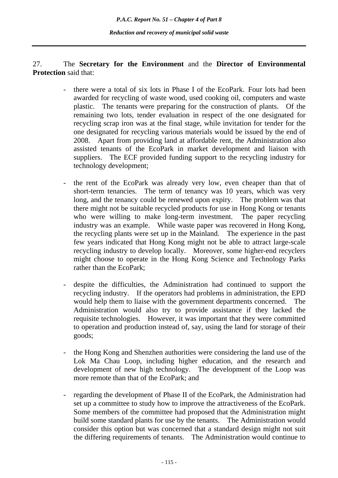# 27. The **Secretary for the Environment** and the **Director of Environmental Protection** said that:

- there were a total of six lots in Phase I of the EcoPark. Four lots had been awarded for recycling of waste wood, used cooking oil, computers and waste plastic. The tenants were preparing for the construction of plants. Of the remaining two lots, tender evaluation in respect of the one designated for recycling scrap iron was at the final stage, while invitation for tender for the one designated for recycling various materials would be issued by the end of 2008. Apart from providing land at affordable rent, the Administration also assisted tenants of the EcoPark in market development and liaison with suppliers. The ECF provided funding support to the recycling industry for technology development;
- the rent of the EcoPark was already very low, even cheaper than that of short-term tenancies. The term of tenancy was 10 years, which was very long, and the tenancy could be renewed upon expiry. The problem was that there might not be suitable recycled products for use in Hong Kong or tenants who were willing to make long-term investment. The paper recycling industry was an example. While waste paper was recovered in Hong Kong, the recycling plants were set up in the Mainland. The experience in the past few years indicated that Hong Kong might not be able to attract large-scale recycling industry to develop locally. Moreover, some higher-end recyclers might choose to operate in the Hong Kong Science and Technology Parks rather than the EcoPark;
- despite the difficulties, the Administration had continued to support the recycling industry. If the operators had problems in administration, the EPD would help them to liaise with the government departments concerned. The Administration would also try to provide assistance if they lacked the requisite technologies. However, it was important that they were committed to operation and production instead of, say, using the land for storage of their goods;
- the Hong Kong and Shenzhen authorities were considering the land use of the Lok Ma Chau Loop, including higher education, and the research and development of new high technology. The development of the Loop was more remote than that of the EcoPark; and
- regarding the development of Phase II of the EcoPark, the Administration had set up a committee to study how to improve the attractiveness of the EcoPark. Some members of the committee had proposed that the Administration might build some standard plants for use by the tenants. The Administration would consider this option but was concerned that a standard design might not suit the differing requirements of tenants. The Administration would continue to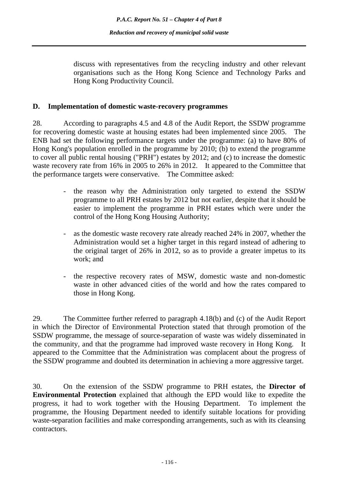discuss with representatives from the recycling industry and other relevant organisations such as the Hong Kong Science and Technology Parks and Hong Kong Productivity Council.

#### **D. Implementation of domestic waste-recovery programmes**

28. According to paragraphs 4.5 and 4.8 of the Audit Report, the SSDW programme for recovering domestic waste at housing estates had been implemented since 2005. The ENB had set the following performance targets under the programme: (a) to have 80% of Hong Kong's population enrolled in the programme by 2010; (b) to extend the programme to cover all public rental housing ("PRH") estates by 2012; and (c) to increase the domestic waste recovery rate from 16% in 2005 to 26% in 2012. It appeared to the Committee that the performance targets were conservative. The Committee asked:

- the reason why the Administration only targeted to extend the SSDW programme to all PRH estates by 2012 but not earlier, despite that it should be easier to implement the programme in PRH estates which were under the control of the Hong Kong Housing Authority;
- as the domestic waste recovery rate already reached 24% in 2007, whether the Administration would set a higher target in this regard instead of adhering to the original target of 26% in 2012, so as to provide a greater impetus to its work; and
- the respective recovery rates of MSW, domestic waste and non-domestic waste in other advanced cities of the world and how the rates compared to those in Hong Kong.

29. The Committee further referred to paragraph 4.18(b) and (c) of the Audit Report in which the Director of Environmental Protection stated that through promotion of the SSDW programme, the message of source-separation of waste was widely disseminated in the community, and that the programme had improved waste recovery in Hong Kong. It appeared to the Committee that the Administration was complacent about the progress of the SSDW programme and doubted its determination in achieving a more aggressive target.

30. On the extension of the SSDW programme to PRH estates, the **Director of Environmental Protection** explained that although the EPD would like to expedite the progress, it had to work together with the Housing Department. To implement the programme, the Housing Department needed to identify suitable locations for providing waste-separation facilities and make corresponding arrangements, such as with its cleansing contractors.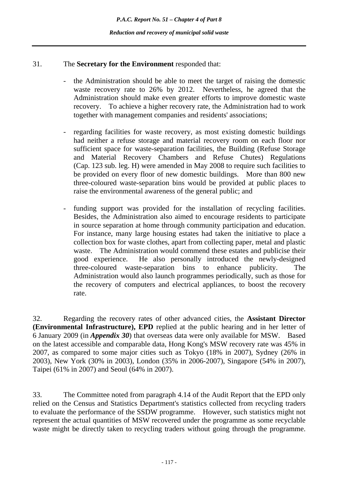## 31. The **Secretary for the Environment** responded that:

- the Administration should be able to meet the target of raising the domestic waste recovery rate to 26% by 2012. Nevertheless, he agreed that the Administration should make even greater efforts to improve domestic waste recovery. To achieve a higher recovery rate, the Administration had to work together with management companies and residents' associations;
- regarding facilities for waste recovery, as most existing domestic buildings had neither a refuse storage and material recovery room on each floor nor sufficient space for waste-separation facilities, the Building (Refuse Storage and Material Recovery Chambers and Refuse Chutes) Regulations (Cap. 123 sub. leg. H) were amended in May 2008 to require such facilities to be provided on every floor of new domestic buildings. More than 800 new three-coloured waste-separation bins would be provided at public places to raise the environmental awareness of the general public; and
- funding support was provided for the installation of recycling facilities. Besides, the Administration also aimed to encourage residents to participate in source separation at home through community participation and education. For instance, many large housing estates had taken the initiative to place a collection box for waste clothes, apart from collecting paper, metal and plastic waste. The Administration would commend these estates and publicise their good experience. He also personally introduced the newly-designed three-coloured waste-separation bins to enhance publicity. The Administration would also launch programmes periodically, such as those for the recovery of computers and electrical appliances, to boost the recovery rate.

32. Regarding the recovery rates of other advanced cities, the **Assistant Director (Environmental Infrastructure), EPD** replied at the public hearing and in her letter of 6 January 2009 (in *Appendix 30*) that overseas data were only available for MSW. Based on the latest accessible and comparable data, Hong Kong's MSW recovery rate was 45% in 2007, as compared to some major cities such as Tokyo (18% in 2007), Sydney (26% in 2003), New York (30% in 2003), London (35% in 2006-2007), Singapore (54% in 2007), Taipei (61% in 2007) and Seoul (64% in 2007).

33. The Committee noted from paragraph 4.14 of the Audit Report that the EPD only relied on the Census and Statistics Department's statistics collected from recycling traders to evaluate the performance of the SSDW programme. However, such statistics might not represent the actual quantities of MSW recovered under the programme as some recyclable waste might be directly taken to recycling traders without going through the programme.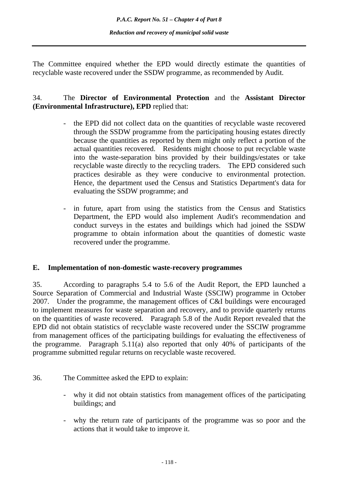The Committee enquired whether the EPD would directly estimate the quantities of recyclable waste recovered under the SSDW programme, as recommended by Audit.

## 34. The **Director of Environmental Protection** and the **Assistant Director (Environmental Infrastructure), EPD** replied that:

- the EPD did not collect data on the quantities of recyclable waste recovered through the SSDW programme from the participating housing estates directly because the quantities as reported by them might only reflect a portion of the actual quantities recovered. Residents might choose to put recyclable waste into the waste-separation bins provided by their buildings/estates or take recyclable waste directly to the recycling traders. The EPD considered such practices desirable as they were conducive to environmental protection. Hence, the department used the Census and Statistics Department's data for evaluating the SSDW programme; and
- in future, apart from using the statistics from the Census and Statistics Department, the EPD would also implement Audit's recommendation and conduct surveys in the estates and buildings which had joined the SSDW programme to obtain information about the quantities of domestic waste recovered under the programme.

### **E. Implementation of non-domestic waste-recovery programmes**

35. According to paragraphs 5.4 to 5.6 of the Audit Report, the EPD launched a Source Separation of Commercial and Industrial Waste (SSCIW) programme in October 2007. Under the programme, the management offices of C&I buildings were encouraged to implement measures for waste separation and recovery, and to provide quarterly returns on the quantities of waste recovered. Paragraph 5.8 of the Audit Report revealed that the EPD did not obtain statistics of recyclable waste recovered under the SSCIW programme from management offices of the participating buildings for evaluating the effectiveness of the programme. Paragraph  $5.11(a)$  also reported that only 40% of participants of the programme submitted regular returns on recyclable waste recovered.

- 36. The Committee asked the EPD to explain:
	- why it did not obtain statistics from management offices of the participating buildings; and
	- why the return rate of participants of the programme was so poor and the actions that it would take to improve it.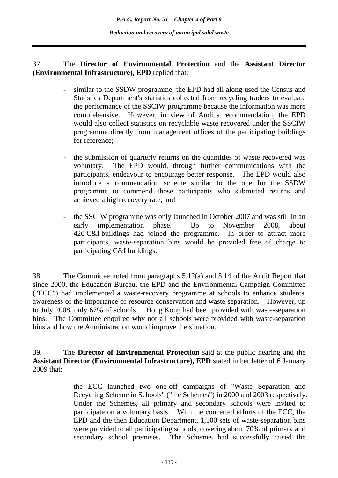37. The **Director of Environmental Protection** and the **Assistant Director (Environmental Infrastructure), EPD** replied that:

- similar to the SSDW programme, the EPD had all along used the Census and Statistics Department's statistics collected from recycling traders to evaluate the performance of the SSCIW programme because the information was more comprehensive. However, in view of Audit's recommendation, the EPD would also collect statistics on recyclable waste recovered under the SSCIW programme directly from management offices of the participating buildings for reference;
- the submission of quarterly returns on the quantities of waste recovered was voluntary. The EPD would, through further communications with the participants, endeavour to encourage better response. The EPD would also introduce a commendation scheme similar to the one for the SSDW programme to commend those participants who submitted returns and achieved a high recovery rate; and
- the SSCIW programme was only launched in October 2007 and was still in an early implementation phase. Up to November 2008, about 420 C&I buildings had joined the programme. In order to attract more participants, waste-separation bins would be provided free of charge to participating C&I buildings.

38. The Committee noted from paragraphs 5.12(a) and 5.14 of the Audit Report that since 2000, the Education Bureau, the EPD and the Environmental Campaign Committee ("ECC") had implemented a waste-recovery programme at schools to enhance students' awareness of the importance of resource conservation and waste separation. However, up to July 2008, only 67% of schools in Hong Kong had been provided with waste-separation bins. The Committee enquired why not all schools were provided with waste-separation bins and how the Administration would improve the situation.

39. The **Director of Environmental Protection** said at the public hearing and the **Assistant Director (Environmental Infrastructure), EPD** stated in her letter of 6 January 2009 that:

> - the ECC launched two one-off campaigns of "Waste Separation and Recycling Scheme in Schools" ("the Schemes") in 2000 and 2003 respectively. Under the Schemes, all primary and secondary schools were invited to participate on a voluntary basis. With the concerted efforts of the ECC, the EPD and the then Education Department, 1,100 sets of waste-separation bins were provided to all participating schools, covering about 70% of primary and secondary school premises. The Schemes had successfully raised the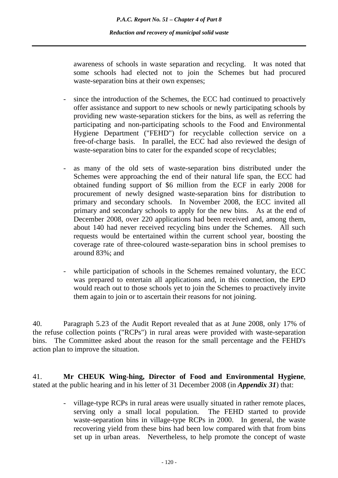awareness of schools in waste separation and recycling. It was noted that some schools had elected not to join the Schemes but had procured waste-separation bins at their own expenses;

- since the introduction of the Schemes, the ECC had continued to proactively offer assistance and support to new schools or newly participating schools by providing new waste-separation stickers for the bins, as well as referring the participating and non-participating schools to the Food and Environmental Hygiene Department ("FEHD") for recyclable collection service on a free-of-charge basis. In parallel, the ECC had also reviewed the design of waste-separation bins to cater for the expanded scope of recyclables;
- as many of the old sets of waste-separation bins distributed under the Schemes were approaching the end of their natural life span, the ECC had obtained funding support of \$6 million from the ECF in early 2008 for procurement of newly designed waste-separation bins for distribution to primary and secondary schools. In November 2008, the ECC invited all primary and secondary schools to apply for the new bins. As at the end of December 2008, over 220 applications had been received and, among them, about 140 had never received recycling bins under the Schemes. All such requests would be entertained within the current school year, boosting the coverage rate of three-coloured waste-separation bins in school premises to around 83%; and
- while participation of schools in the Schemes remained voluntary, the ECC was prepared to entertain all applications and, in this connection, the EPD would reach out to those schools yet to join the Schemes to proactively invite them again to join or to ascertain their reasons for not joining.

40. Paragraph 5.23 of the Audit Report revealed that as at June 2008, only 17% of the refuse collection points ("RCPs") in rural areas were provided with waste-separation bins. The Committee asked about the reason for the small percentage and the FEHD's action plan to improve the situation.

41. **Mr CHEUK Wing-hing, Director of Food and Environmental Hygiene**, stated at the public hearing and in his letter of 31 December 2008 (in *Appendix 31*) that:

> - village-type RCPs in rural areas were usually situated in rather remote places, serving only a small local population. The FEHD started to provide waste-separation bins in village-type RCPs in 2000. In general, the waste recovering yield from these bins had been low compared with that from bins set up in urban areas. Nevertheless, to help promote the concept of waste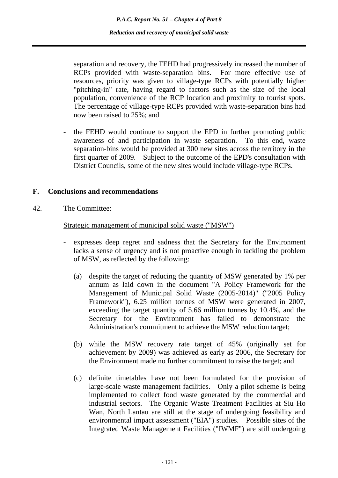separation and recovery, the FEHD had progressively increased the number of RCPs provided with waste-separation bins. For more effective use of resources, priority was given to village-type RCPs with potentially higher "pitching-in" rate, having regard to factors such as the size of the local population, convenience of the RCP location and proximity to tourist spots. The percentage of village-type RCPs provided with waste-separation bins had now been raised to 25%; and

the FEHD would continue to support the EPD in further promoting public awareness of and participation in waste separation. To this end, waste separation-bins would be provided at 300 new sites across the territory in the first quarter of 2009. Subject to the outcome of the EPD's consultation with District Councils, some of the new sites would include village-type RCPs.

#### **F. Conclusions and recommendations**

42. The Committee:

Strategic management of municipal solid waste ("MSW")

- expresses deep regret and sadness that the Secretary for the Environment lacks a sense of urgency and is not proactive enough in tackling the problem of MSW, as reflected by the following:
	- (a) despite the target of reducing the quantity of MSW generated by 1% per annum as laid down in the document "A Policy Framework for the Management of Municipal Solid Waste (2005-2014)" ("2005 Policy Framework"), 6.25 million tonnes of MSW were generated in 2007, exceeding the target quantity of 5.66 million tonnes by 10.4%, and the Secretary for the Environment has failed to demonstrate the Administration's commitment to achieve the MSW reduction target;
	- (b) while the MSW recovery rate target of 45% (originally set for achievement by 2009) was achieved as early as 2006, the Secretary for the Environment made no further commitment to raise the target; and
	- (c) definite timetables have not been formulated for the provision of large-scale waste management facilities. Only a pilot scheme is being implemented to collect food waste generated by the commercial and industrial sectors. The Organic Waste Treatment Facilities at Siu Ho Wan, North Lantau are still at the stage of undergoing feasibility and environmental impact assessment ("EIA") studies. Possible sites of the Integrated Waste Management Facilities ("IWMF") are still undergoing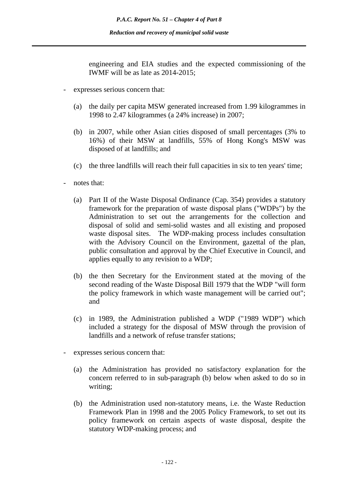engineering and EIA studies and the expected commissioning of the IWMF will be as late as 2014-2015;

- expresses serious concern that:
	- (a) the daily per capita MSW generated increased from 1.99 kilogrammes in 1998 to 2.47 kilogrammes (a 24% increase) in 2007;
	- (b) in 2007, while other Asian cities disposed of small percentages (3% to 16%) of their MSW at landfills, 55% of Hong Kong's MSW was disposed of at landfills; and
	- (c) the three landfills will reach their full capacities in six to ten years' time;
- notes that:
	- (a) Part II of the Waste Disposal Ordinance (Cap. 354) provides a statutory framework for the preparation of waste disposal plans ("WDPs") by the Administration to set out the arrangements for the collection and disposal of solid and semi-solid wastes and all existing and proposed waste disposal sites. The WDP-making process includes consultation with the Advisory Council on the Environment, gazettal of the plan, public consultation and approval by the Chief Executive in Council, and applies equally to any revision to a WDP;
	- (b) the then Secretary for the Environment stated at the moving of the second reading of the Waste Disposal Bill 1979 that the WDP "will form the policy framework in which waste management will be carried out"; and
	- (c) in 1989, the Administration published a WDP ("1989 WDP") which included a strategy for the disposal of MSW through the provision of landfills and a network of refuse transfer stations;
- expresses serious concern that:
	- (a) the Administration has provided no satisfactory explanation for the concern referred to in sub-paragraph (b) below when asked to do so in writing;
	- (b) the Administration used non-statutory means, i.e. the Waste Reduction Framework Plan in 1998 and the 2005 Policy Framework, to set out its policy framework on certain aspects of waste disposal, despite the statutory WDP-making process; and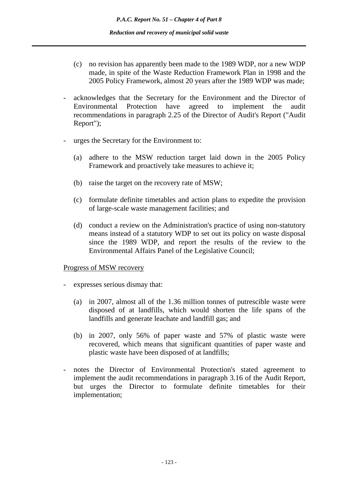- (c) no revision has apparently been made to the 1989 WDP, nor a new WDP made, in spite of the Waste Reduction Framework Plan in 1998 and the 2005 Policy Framework, almost 20 years after the 1989 WDP was made;
- acknowledges that the Secretary for the Environment and the Director of Environmental Protection have agreed to implement the audit recommendations in paragraph 2.25 of the Director of Audit's Report ("Audit Report");
- urges the Secretary for the Environment to:
	- (a) adhere to the MSW reduction target laid down in the 2005 Policy Framework and proactively take measures to achieve it;
	- (b) raise the target on the recovery rate of MSW;
	- (c) formulate definite timetables and action plans to expedite the provision of large-scale waste management facilities; and
	- (d) conduct a review on the Administration's practice of using non-statutory means instead of a statutory WDP to set out its policy on waste disposal since the 1989 WDP, and report the results of the review to the Environmental Affairs Panel of the Legislative Council;

#### Progress of MSW recovery

- expresses serious dismay that:
	- (a) in 2007, almost all of the 1.36 million tonnes of putrescible waste were disposed of at landfills, which would shorten the life spans of the landfills and generate leachate and landfill gas; and
	- (b) in 2007, only 56% of paper waste and 57% of plastic waste were recovered, which means that significant quantities of paper waste and plastic waste have been disposed of at landfills;
- notes the Director of Environmental Protection's stated agreement to implement the audit recommendations in paragraph 3.16 of the Audit Report, but urges the Director to formulate definite timetables for their implementation;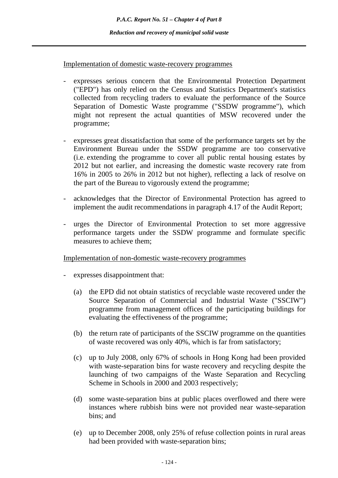Implementation of domestic waste-recovery programmes

- expresses serious concern that the Environmental Protection Department ("EPD") has only relied on the Census and Statistics Department's statistics collected from recycling traders to evaluate the performance of the Source Separation of Domestic Waste programme ("SSDW programme"), which might not represent the actual quantities of MSW recovered under the programme;
- expresses great dissatisfaction that some of the performance targets set by the Environment Bureau under the SSDW programme are too conservative (i.e. extending the programme to cover all public rental housing estates by 2012 but not earlier, and increasing the domestic waste recovery rate from 16% in 2005 to 26% in 2012 but not higher), reflecting a lack of resolve on the part of the Bureau to vigorously extend the programme;
- acknowledges that the Director of Environmental Protection has agreed to implement the audit recommendations in paragraph 4.17 of the Audit Report;
- urges the Director of Environmental Protection to set more aggressive performance targets under the SSDW programme and formulate specific measures to achieve them;

### Implementation of non-domestic waste-recovery programmes

- expresses disappointment that:
	- (a) the EPD did not obtain statistics of recyclable waste recovered under the Source Separation of Commercial and Industrial Waste ("SSCIW") programme from management offices of the participating buildings for evaluating the effectiveness of the programme;
	- (b) the return rate of participants of the SSCIW programme on the quantities of waste recovered was only 40%, which is far from satisfactory;
	- (c) up to July 2008, only 67% of schools in Hong Kong had been provided with waste-separation bins for waste recovery and recycling despite the launching of two campaigns of the Waste Separation and Recycling Scheme in Schools in 2000 and 2003 respectively;
	- (d) some waste-separation bins at public places overflowed and there were instances where rubbish bins were not provided near waste-separation bins; and
	- (e) up to December 2008, only 25% of refuse collection points in rural areas had been provided with waste-separation bins;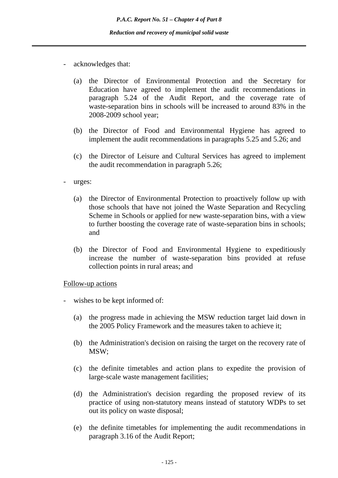- acknowledges that:
	- (a) the Director of Environmental Protection and the Secretary for Education have agreed to implement the audit recommendations in paragraph 5.24 of the Audit Report, and the coverage rate of waste-separation bins in schools will be increased to around 83% in the 2008-2009 school year;
	- (b) the Director of Food and Environmental Hygiene has agreed to implement the audit recommendations in paragraphs 5.25 and 5.26; and
	- (c) the Director of Leisure and Cultural Services has agreed to implement the audit recommendation in paragraph 5.26;
- urges:
	- (a) the Director of Environmental Protection to proactively follow up with those schools that have not joined the Waste Separation and Recycling Scheme in Schools or applied for new waste-separation bins, with a view to further boosting the coverage rate of waste-separation bins in schools; and
	- (b) the Director of Food and Environmental Hygiene to expeditiously increase the number of waste-separation bins provided at refuse collection points in rural areas; and

#### Follow-up actions

- wishes to be kept informed of:
	- (a) the progress made in achieving the MSW reduction target laid down in the 2005 Policy Framework and the measures taken to achieve it;
	- (b) the Administration's decision on raising the target on the recovery rate of MSW;
	- (c) the definite timetables and action plans to expedite the provision of large-scale waste management facilities;
	- (d) the Administration's decision regarding the proposed review of its practice of using non-statutory means instead of statutory WDPs to set out its policy on waste disposal;
	- (e) the definite timetables for implementing the audit recommendations in paragraph 3.16 of the Audit Report;